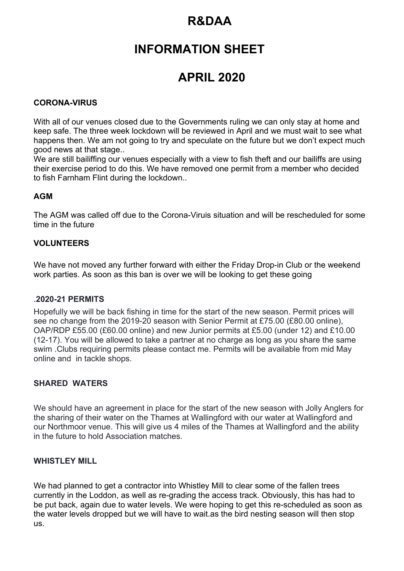# **R&DAA**

# **INFORMATION SHEET**

# **APRIL 2020**

### **CORONA-VIRUS**

With all of our venues closed due to the Governments ruling we can only stay at home and keep safe. The three week lockdown will be reviewed in April and we must wait to see what happens then. We am not going to try and speculate on the future but we don't expect much good news at that stage..

We are still bailiffing our venues especially with a view to fish theft and our bailiffs are using their exercise period to do this. We have removed one permit from a member who decided to fish Farnham Flint during the lockdown..

#### **AGM**

The AGM was called off due to the Corona-Viruis situation and will be rescheduled for some time in the future

#### **VOLUNTEERS**

We have not moved any further forward with either the Friday Drop-in Club or the weekend work parties. As soon as this ban is over we will be looking to get these going

#### .**2020-21 PERMITS**

Hopefully we will be back fishing in time for the start of the new season. Permit prices will see no change from the 2019-20 season with Senior Permit at £75.00 (£80.00 online), OAP/RDP £55.00 (£60.00 online) and new Junior permits at £5.00 (under 12) and £10.00 (12-17). You will be allowed to take a partner at no charge as long as you share the same swim .Clubs requiring permits please contact me. Permits will be available from mid May online and in tackle shops.

#### **SHARED WATERS**

We should have an agreement in place for the start of the new season with Jolly Anglers for the sharing of their water on the Thames at Wallingford with our water at Wallingford and our Northmoor venue. This will give us 4 miles of the Thames at Wallingford and the ability in the future to hold Association matches.

#### WHISTLEY MILL

We had planned to get a contractor into Whistley Mill to clear some of the fallen trees currently in the Loddon, as well as re-grading the access track. Obviously, this has had to be put back, again due to water levels. We were hoping to get this re-scheduled as soon as the water levels dropped but we will have to wait.as the bird nesting season will then stop us.